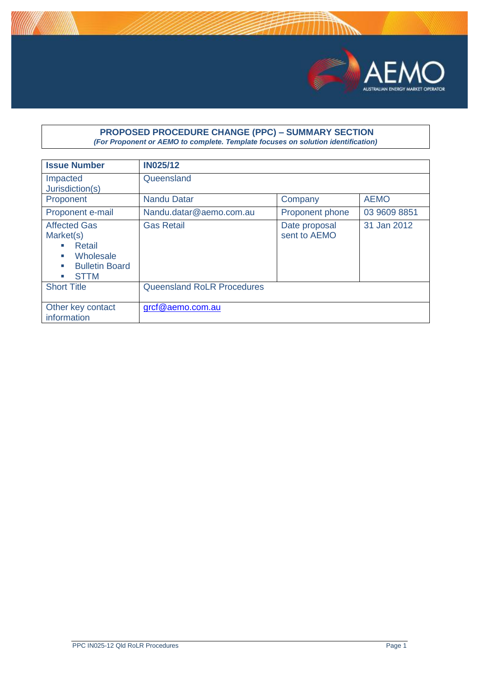

#### **PROPOSED PROCEDURE CHANGE (PPC) – SUMMARY SECTION** *(For Proponent or AEMO to complete. Template focuses on solution identification)*

| <b>Issue Number</b>                                                                                                                                                                                | <b>IN025/12</b>                   |                               |              |
|----------------------------------------------------------------------------------------------------------------------------------------------------------------------------------------------------|-----------------------------------|-------------------------------|--------------|
| Impacted<br>Jurisdiction(s)                                                                                                                                                                        | Queensland                        |                               |              |
| Proponent                                                                                                                                                                                          | <b>Nandu Datar</b>                | Company                       | <b>AEMO</b>  |
| Proponent e-mail                                                                                                                                                                                   | Nandu.datar@aemo.com.au           | Proponent phone               | 03 9609 8851 |
| <b>Affected Gas</b><br>Market(s)<br>Retail<br>$\mathcal{L}_{\mathcal{A}}$<br>Wholesale<br>$\mathcal{L}_{\mathcal{A}}$<br><b>Bulletin Board</b><br>m.<br><b>STTM</b><br>$\mathcal{L}_{\mathcal{A}}$ | <b>Gas Retail</b>                 | Date proposal<br>sent to AEMO | 31 Jan 2012  |
| <b>Short Title</b>                                                                                                                                                                                 | <b>Queensland RoLR Procedures</b> |                               |              |
| Other key contact<br>information                                                                                                                                                                   | grcf@aemo.com.au                  |                               |              |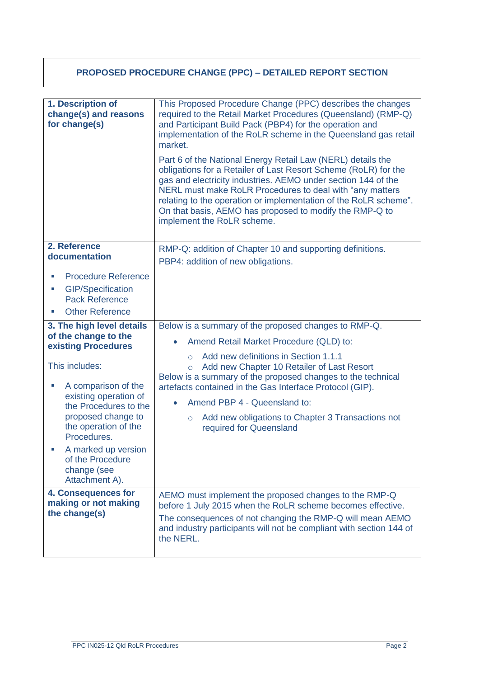# **PROPOSED PROCEDURE CHANGE (PPC) – DETAILED REPORT SECTION**

| 1. Description of<br>change(s) and reasons<br>for change(s)                                                                                                                                                                                                                                                  | This Proposed Procedure Change (PPC) describes the changes<br>required to the Retail Market Procedures (Queensland) (RMP-Q)<br>and Participant Build Pack (PBP4) for the operation and<br>implementation of the RoLR scheme in the Queensland gas retail<br>market.                                                                                                                                                                                                                         |
|--------------------------------------------------------------------------------------------------------------------------------------------------------------------------------------------------------------------------------------------------------------------------------------------------------------|---------------------------------------------------------------------------------------------------------------------------------------------------------------------------------------------------------------------------------------------------------------------------------------------------------------------------------------------------------------------------------------------------------------------------------------------------------------------------------------------|
|                                                                                                                                                                                                                                                                                                              | Part 6 of the National Energy Retail Law (NERL) details the<br>obligations for a Retailer of Last Resort Scheme (RoLR) for the<br>gas and electricity industries. AEMO under section 144 of the<br>NERL must make RoLR Procedures to deal with "any matters<br>relating to the operation or implementation of the RoLR scheme".<br>On that basis, AEMO has proposed to modify the RMP-Q to<br>implement the RoLR scheme.                                                                    |
| 2. Reference<br>documentation                                                                                                                                                                                                                                                                                | RMP-Q: addition of Chapter 10 and supporting definitions.<br>PBP4: addition of new obligations.                                                                                                                                                                                                                                                                                                                                                                                             |
| <b>Procedure Reference</b><br><b>GIP/Specification</b><br>ш<br><b>Pack Reference</b><br><b>Other Reference</b>                                                                                                                                                                                               |                                                                                                                                                                                                                                                                                                                                                                                                                                                                                             |
| 3. The high level details<br>of the change to the<br>existing Procedures<br>This includes:<br>A comparison of the<br>existing operation of<br>the Procedures to the<br>proposed change to<br>the operation of the<br>Procedures.<br>A marked up version<br>of the Procedure<br>change (see<br>Attachment A). | Below is a summary of the proposed changes to RMP-Q.<br>Amend Retail Market Procedure (QLD) to:<br>$\bullet$<br>Add new definitions in Section 1.1.1<br>$\circ$<br>Add new Chapter 10 Retailer of Last Resort<br>$\circ$<br>Below is a summary of the proposed changes to the technical<br>artefacts contained in the Gas Interface Protocol (GIP).<br>Amend PBP 4 - Queensland to:<br>$\bullet$<br>Add new obligations to Chapter 3 Transactions not<br>$\circ$<br>required for Queensland |
| 4. Consequences for<br>making or not making<br>the change(s)                                                                                                                                                                                                                                                 | AEMO must implement the proposed changes to the RMP-Q<br>before 1 July 2015 when the RoLR scheme becomes effective.<br>The consequences of not changing the RMP-Q will mean AEMO<br>and industry participants will not be compliant with section 144 of<br>the NERL.                                                                                                                                                                                                                        |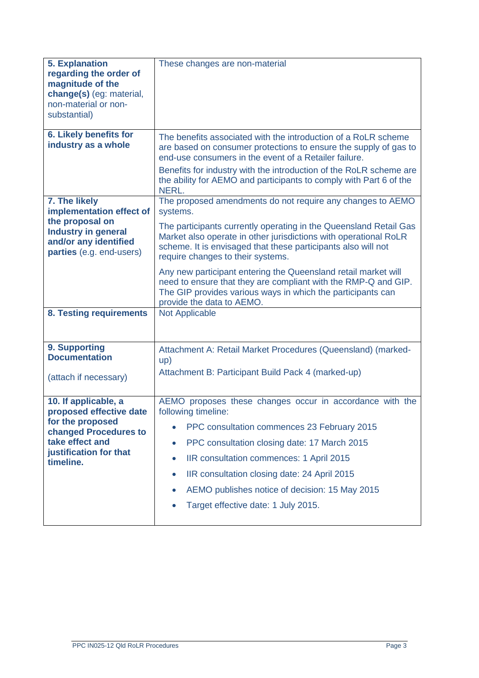| <b>5. Explanation</b><br>regarding the order of<br>magnitude of the<br>change(s) (eg: material,<br>non-material or non-<br>substantial)                | These changes are non-material                                                                                                                                                                                                                                                                                                                                                                                          |
|--------------------------------------------------------------------------------------------------------------------------------------------------------|-------------------------------------------------------------------------------------------------------------------------------------------------------------------------------------------------------------------------------------------------------------------------------------------------------------------------------------------------------------------------------------------------------------------------|
| 6. Likely benefits for<br>industry as a whole                                                                                                          | The benefits associated with the introduction of a RoLR scheme<br>are based on consumer protections to ensure the supply of gas to<br>end-use consumers in the event of a Retailer failure.<br>Benefits for industry with the introduction of the RoLR scheme are<br>the ability for AEMO and participants to comply with Part 6 of the<br>NERL.                                                                        |
| 7. The likely<br>implementation effect of<br>the proposal on<br><b>Industry in general</b><br>and/or any identified<br>parties (e.g. end-users)        | The proposed amendments do not require any changes to AEMO<br>systems.<br>The participants currently operating in the Queensland Retail Gas<br>Market also operate in other jurisdictions with operational RoLR<br>scheme. It is envisaged that these participants also will not<br>require changes to their systems.                                                                                                   |
|                                                                                                                                                        | Any new participant entering the Queensland retail market will<br>need to ensure that they are compliant with the RMP-Q and GIP.<br>The GIP provides various ways in which the participants can<br>provide the data to AEMO.                                                                                                                                                                                            |
| 8. Testing requirements                                                                                                                                | <b>Not Applicable</b>                                                                                                                                                                                                                                                                                                                                                                                                   |
| 9. Supporting<br><b>Documentation</b><br>(attach if necessary)                                                                                         | Attachment A: Retail Market Procedures (Queensland) (marked-<br>up)<br>Attachment B: Participant Build Pack 4 (marked-up)                                                                                                                                                                                                                                                                                               |
| 10. If applicable, a<br>proposed effective date<br>for the proposed<br>changed Procedures to<br>take effect and<br>justification for that<br>timeline. | AEMO proposes these changes occur in accordance with the<br>following timeline:<br>PPC consultation commences 23 February 2015<br>PPC consultation closing date: 17 March 2015<br>$\bullet$<br>IIR consultation commences: 1 April 2015<br>$\bullet$<br>IIR consultation closing date: 24 April 2015<br>$\bullet$<br>AEMO publishes notice of decision: 15 May 2015<br>$\bullet$<br>Target effective date: 1 July 2015. |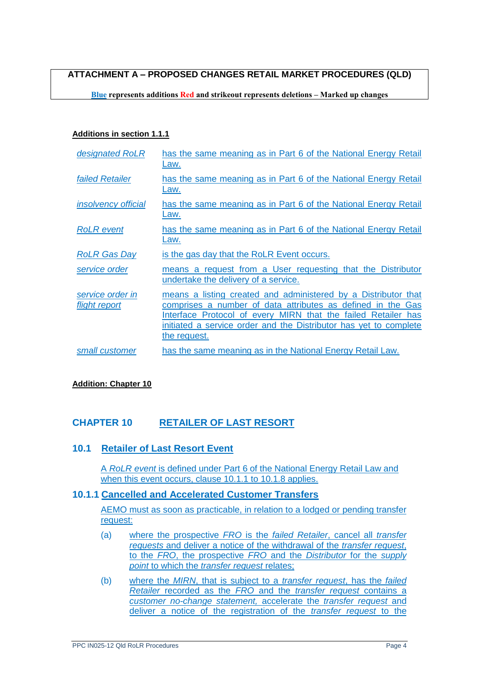**ATTACHMENT A – PROPOSED CHANGES RETAIL MARKET PROCEDURES (QLD)**

**Blue represents additions Red and strikeout represents deletions – Marked up changes**

#### **Additions in section 1.1.1**

| designated RoLR                   | has the same meaning as in Part 6 of the National Energy Retail<br>Law.                                                                                                                                                                                                             |
|-----------------------------------|-------------------------------------------------------------------------------------------------------------------------------------------------------------------------------------------------------------------------------------------------------------------------------------|
| <b>failed Retailer</b>            | has the same meaning as in Part 6 of the National Energy Retail<br>Law.                                                                                                                                                                                                             |
| <i>insolvency official</i>        | has the same meaning as in Part 6 of the National Energy Retail<br>Law.                                                                                                                                                                                                             |
| <b>RoLR</b> event                 | has the same meaning as in Part 6 of the National Energy Retail<br>Law.                                                                                                                                                                                                             |
| <b>RoLR Gas Day</b>               | is the gas day that the RoLR Event occurs.                                                                                                                                                                                                                                          |
| service order                     | means a request from a User requesting that the Distributor<br>undertake the delivery of a service.                                                                                                                                                                                 |
| service order in<br>flight report | means a listing created and administered by a Distributor that<br>comprises a number of data attributes as defined in the Gas<br>Interface Protocol of every MIRN that the failed Retailer has<br>initiated a service order and the Distributor has yet to complete<br>the request. |
| small customer                    | has the same meaning as in the National Energy Retail Law.                                                                                                                                                                                                                          |

### **Addition: Chapter 10**

## **CHAPTER 10 RETAILER OF LAST RESORT**

## **10.1 Retailer of Last Resort Event**

A *RoLR event* is defined under Part 6 of the National Energy Retail Law and when this event occurs, clause 10.1.1 to 10.1.8 applies.

### **10.1.1 Cancelled and Accelerated Customer Transfers**

AEMO must as soon as practicable, in relation to a lodged or pending transfer request:

- (a) where the prospective *FRO* is the *failed Retailer*, cancel all *transfer requests* and deliver a notice of the withdrawal of the *transfer request*, to the *FRO*, the prospective *FRO* and the *Distributor* for the *supply point* to which the *transfer request* relates;
- (b) where the *MIRN*, that is subject to a *transfer request*, has the *failed Retailer* recorded as the *FRO* and the *transfer request* contains a *customer no-change statement,* accelerate the *transfer request* and deliver a notice of the registration of the *transfer request* to the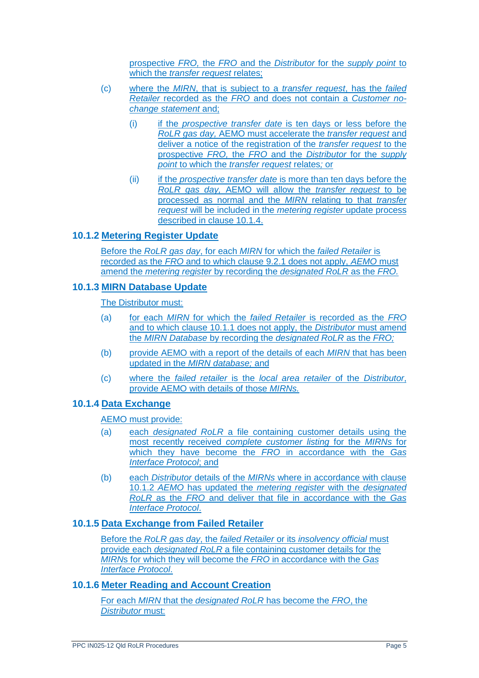prospective *FRO,* the *FRO* and the *Distributor* for the *supply point* to which the *transfer request* relates;

- (c) where the *MIRN*, that is subject to a *transfer request*, has the *failed Retailer* recorded as the *FRO* and does not contain a *Customer nochange statement* and;
	- (i) if the *prospective transfer date* is ten days or less before the *RoLR gas day,* AEMO must accelerate the *transfer request* and deliver a notice of the registration of the *transfer request* to the prospective *FRO,* the *FRO* and the *Distributor* for the *supply point* to which the *transfer request* relates*;* or
	- (ii) if the *prospective transfer date* is more than ten days before the *RoLR gas day,* AEMO will allow the *transfer request* to be processed as normal and the *MIRN* relating to that *transfer request* will be included in the *metering register* update process described in clause 10.1.4.

## **10.1.2 Metering Register Update**

Before the *RoLR gas day*, for each *MIRN* for which the *failed Retailer* is recorded as the *FRO* and to which clause 9.2.1 does not apply, *AEMO* must amend the *metering register* by recording the *designated RoLR* as the *FRO.*

## **10.1.3 MIRN Database Update**

The Distributor must:

- (a) for each *MIRN* for which the *failed Retailer* is recorded as the *FRO* and to which clause 10.1.1 does not apply, the *Distributor* must amend the *MIRN Database* by recording the *designated RoLR* as the *FRO;*
- (b) provide AEMO with a report of the details of each *MIRN* that has been updated in the *MIRN database;* and
- (c) where the *failed retailer* is the *local area retailer* of the *Distributor*, provide AEMO with details of those *MIRNs.*

## **10.1.4 Data Exchange**

### AEMO must provide:

- (a) each *designated RoLR* a file containing customer details using the most recently received *complete customer listing* for the *MIRNs* for which they have become the *FRO* in accordance with the *Gas Interface Protocol*; and
- (b) each *Distributor* details of the *MIRNs* where in accordance with clause 10.1.2 *AEMO* has updated the *metering register* with the *designated RoLR* as the *FRO* and deliver that file in accordance with the *Gas Interface Protocol*.

### **10.1.5 Data Exchange from Failed Retailer**

Before the *RoLR gas day*, the *failed Retailer* or its *insolvency official* must provide each *designated RoLR* a file containing customer details for the *MIRN*s for which they will become the *FRO* in accordance with the *Gas Interface Protocol*.

## **10.1.6 Meter Reading and Account Creation**

For each *MIRN* that the *designated RoLR* has become the *FRO*, the *Distributor* must: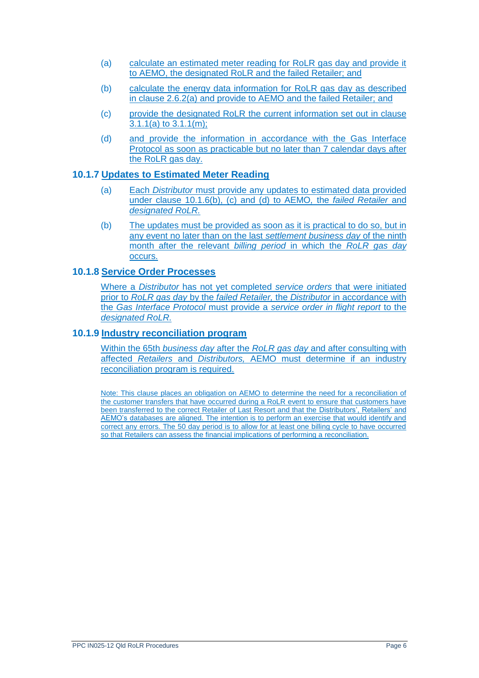- (a) calculate an estimated meter reading for RoLR gas day and provide it to AEMO, the designated RoLR and the failed Retailer; and
- (b) calculate the energy data information for RoLR gas day as described in clause 2.6.2(a) and provide to AEMO and the failed Retailer; and
- (c) provide the designated RoLR the current information set out in clause 3.1.1(a) to 3.1.1(m);
- (d) and provide the information in accordance with the Gas Interface Protocol as soon as practicable but no later than 7 calendar days after the RoLR gas day.

## **10.1.7 Updates to Estimated Meter Reading**

- (a) Each *Distributor* must provide any updates to estimated data provided under clause 10.1.6(b), (c) and (d) to AEMO*,* the *failed Retailer* and *designated RoLR.*
- (b) The updates must be provided as soon as it is practical to do so, but in any event no later than on the last *settlement business day* of the ninth month after the relevant *billing period* in which the *RoLR gas day* occurs.

### **10.1.8 Service Order Processes**

Where a *Distributor* has not yet completed *service orders* that were initiated prior to *RoLR gas day* by the *failed Retailer,* the *Distributor* in accordance with the *Gas Interface Protocol* must provide a *service order in flight report* to the *designated RoLR.*

### **10.1.9 Industry reconciliation program**

Within the 65th *business day* after the *RoLR gas day* and after consulting with affected *Retailers* and *Distributors,* AEMO must determine if an industry reconciliation program is required.

Note: This clause places an obligation on AEMO to determine the need for a reconciliation of the customer transfers that have occurred during a RoLR event to ensure that customers have been transferred to the correct Retailer of Last Resort and that the Distributors', Retailers' and AEMO's databases are aligned. The intention is to perform an exercise that would identify and correct any errors. The 50 day period is to allow for at least one billing cycle to have occurred so that Retailers can assess the financial implications of performing a reconciliation.